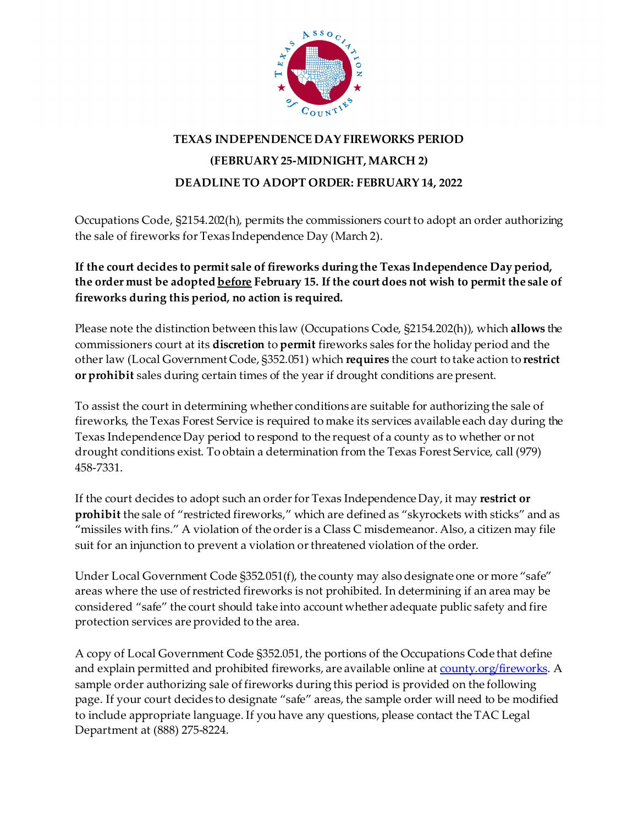

## **TEXAS INDEPENDENCE DAY FIREWORKS PERIOD (FEBRUARY 25-MIDNIGHT, MARCH 2) DEADLINE TO ADOPT ORDER: FEBRUARY 14, 2022**

Occupations Code, §2154.202(h), permits the commissioners court to adopt an order authorizing the sale of fireworks for Texas Independence Day (March 2).

## **If the court decides to permit sale of fireworks during the Texas Independence Day period, the order must be adopted before February 15. If the court does not wish to permit the sale of fireworks during this period, no action is required.**

Please note the distinction between this law (Occupations Code, §2154.202(h)), which **allows** the commissioners court at its **discretion** to **permit** fireworks sales for the holiday period and the other law (Local Government Code, §352.051) which **requires** the court to take action to **restrict or prohibit** sales during certain times of the year if drought conditions are present.

To assist the court in determining whether conditions are suitable for authorizing the sale of fireworks, the Texas Forest Service is required to make its services available each day during the Texas Independence Day period to respond to the request of a county as to whether or not drought conditions exist. To obtain a determination from the Texas Forest Service, call (979) 458-7331.

If the court decides to adopt such an order for Texas Independence Day, it may **restrict or prohibit** the sale of "restricted fireworks," which are defined as "skyrockets with sticks" and as "missiles with fins." A violation of the order is a Class C misdemeanor. Also, a citizen may file suit for an injunction to prevent a violation or threatened violation of the order.

Under Local Government Code §352.051(f), the county may also designate one or more "safe" areas where the use of restricted fireworks is not prohibited. In determining if an area may be considered "safe" the court should take into account whether adequate public safety and fire protection services are provided to the area.

A copy of Local Government Code §352.051, the portions of the Occupations Code that define and explain permitted and prohibited fireworks, are available online at [county.org/fireworks.](http://www.county.org/fireworks) A sample order authorizing sale of fireworks during this period is provided on the following page. If your court decides to designate "safe" areas, the sample order will need to be modified to include appropriate language. If you have any questions, please contact the TAC Legal Department at (888) 275-8224.